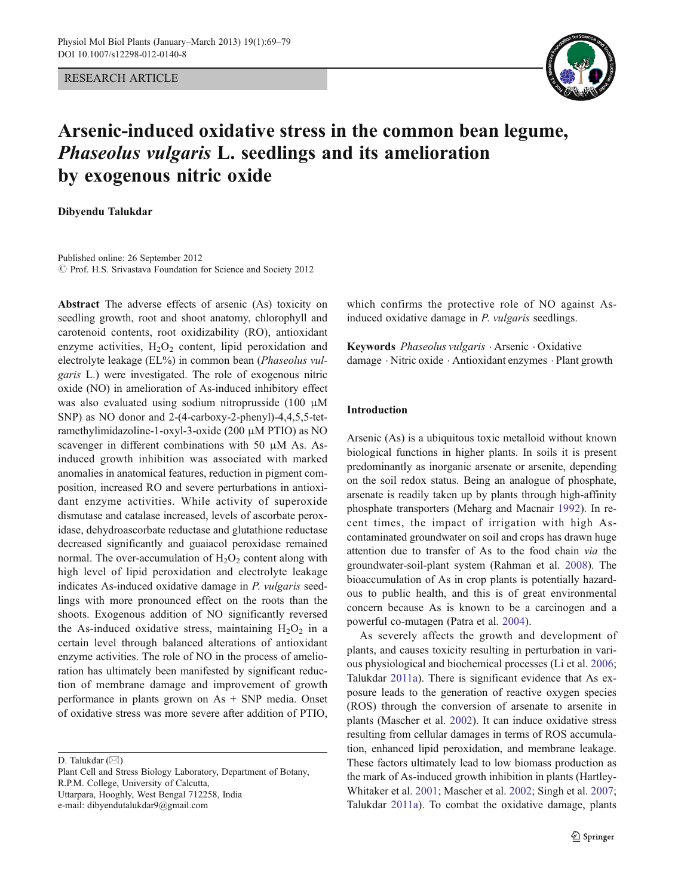RESEARCH ARTICLE



# Arsenic-induced oxidative stress in the common bean legume, Phaseolus vulgaris L. seedlings and its amelioration by exogenous nitric oxide

Dibyendu Talukdar

Published online: 26 September 2012  $\odot$  Prof. H.S. Srivastava Foundation for Science and Society 2012

Abstract The adverse effects of arsenic (As) toxicity on seedling growth, root and shoot anatomy, chlorophyll and carotenoid contents, root oxidizability (RO), antioxidant enzyme activities,  $H_2O_2$  content, lipid peroxidation and electrolyte leakage (EL%) in common bean (Phaseolus vulgaris L.) were investigated. The role of exogenous nitric oxide (NO) in amelioration of As-induced inhibitory effect was also evaluated using sodium nitroprusside (100 μM SNP) as NO donor and 2-(4-carboxy-2-phenyl)-4,4,5,5-tetramethylimidazoline-1-oxyl-3-oxide (200 μM PTIO) as NO scavenger in different combinations with 50 μM As. Asinduced growth inhibition was associated with marked anomalies in anatomical features, reduction in pigment composition, increased RO and severe perturbations in antioxidant enzyme activities. While activity of superoxide dismutase and catalase increased, levels of ascorbate peroxidase, dehydroascorbate reductase and glutathione reductase decreased significantly and guaiacol peroxidase remained normal. The over-accumulation of  $H_2O_2$  content along with high level of lipid peroxidation and electrolyte leakage indicates As-induced oxidative damage in P. vulgaris seedlings with more pronounced effect on the roots than the shoots. Exogenous addition of NO significantly reversed the As-induced oxidative stress, maintaining  $H_2O_2$  in a certain level through balanced alterations of antioxidant enzyme activities. The role of NO in the process of amelioration has ultimately been manifested by significant reduction of membrane damage and improvement of growth performance in plants grown on As + SNP media. Onset of oxidative stress was more severe after addition of PTIO,

D. Talukdar  $(\boxtimes)$ 

Plant Cell and Stress Biology Laboratory, Department of Botany, R.P.M. College, University of Calcutta, Uttarpara, Hooghly, West Bengal 712258, India e-mail: dibyendutalukdar9@gmail.com

which confirms the protective role of NO against Asinduced oxidative damage in *P. vulgaris* seedlings.

Keywords Phaseolus vulgaris . Arsenic . Oxidative damage . Nitric oxide . Antioxidant enzymes . Plant growth

## Introduction

Arsenic (As) is a ubiquitous toxic metalloid without known biological functions in higher plants. In soils it is present predominantly as inorganic arsenate or arsenite, depending on the soil redox status. Being an analogue of phosphate, arsenate is readily taken up by plants through high-affinity phosphate transporters (Meharg and Macnair [1992](#page-9-0)). In recent times, the impact of irrigation with high Ascontaminated groundwater on soil and crops has drawn huge attention due to transfer of As to the food chain via the groundwater-soil-plant system (Rahman et al. [2008\)](#page-10-0). The bioaccumulation of As in crop plants is potentially hazardous to public health, and this is of great environmental concern because As is known to be a carcinogen and a powerful co-mutagen (Patra et al. [2004](#page-10-0)).

As severely affects the growth and development of plants, and causes toxicity resulting in perturbation in various physiological and biochemical processes (Li et al. [2006;](#page-9-0) Talukdar [2011a\)](#page-10-0). There is significant evidence that As exposure leads to the generation of reactive oxygen species (ROS) through the conversion of arsenate to arsenite in plants (Mascher et al. [2002](#page-9-0)). It can induce oxidative stress resulting from cellular damages in terms of ROS accumulation, enhanced lipid peroxidation, and membrane leakage. These factors ultimately lead to low biomass production as the mark of As-induced growth inhibition in plants (Hartley-Whitaker et al. [2001;](#page-9-0) Mascher et al. [2002](#page-9-0); Singh et al. [2007;](#page-10-0) Talukdar [2011a](#page-10-0)). To combat the oxidative damage, plants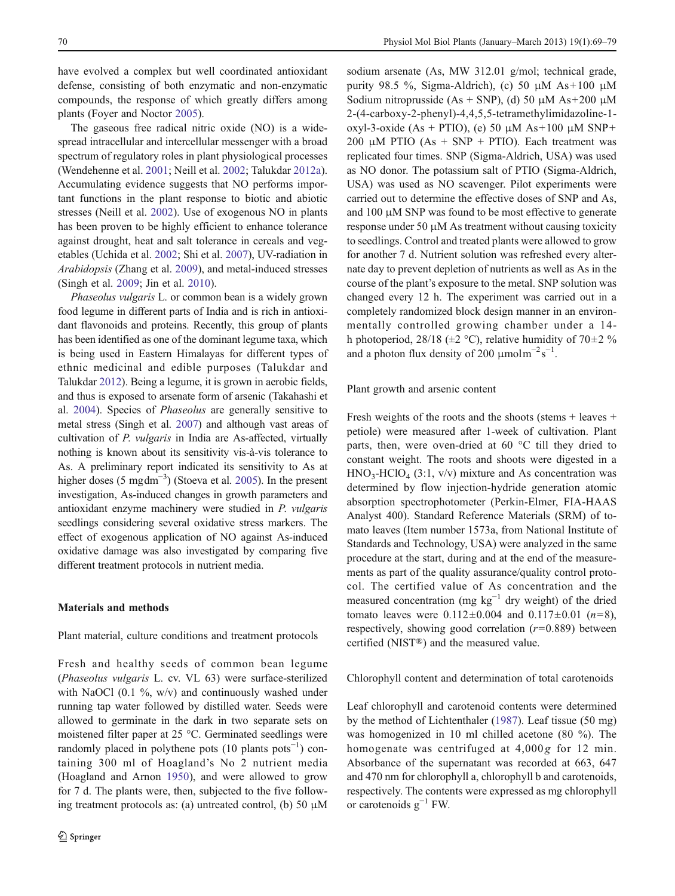have evolved a complex but well coordinated antioxidant defense, consisting of both enzymatic and non-enzymatic compounds, the response of which greatly differs among plants (Foyer and Noctor [2005\)](#page-9-0).

The gaseous free radical nitric oxide (NO) is a widespread intracellular and intercellular messenger with a broad spectrum of regulatory roles in plant physiological processes (Wendehenne et al. [2001;](#page-10-0) Neill et al. [2002;](#page-10-0) Talukdar [2012a](#page-10-0)). Accumulating evidence suggests that NO performs important functions in the plant response to biotic and abiotic stresses (Neill et al. [2002\)](#page-10-0). Use of exogenous NO in plants has been proven to be highly efficient to enhance tolerance against drought, heat and salt tolerance in cereals and vegetables (Uchida et al. [2002;](#page-10-0) Shi et al. [2007](#page-10-0)), UV-radiation in Arabidopsis (Zhang et al. [2009\)](#page-10-0), and metal-induced stresses (Singh et al. [2009](#page-10-0); Jin et al. [2010\)](#page-9-0).

Phaseolus vulgaris L. or common bean is a widely grown food legume in different parts of India and is rich in antioxidant flavonoids and proteins. Recently, this group of plants has been identified as one of the dominant legume taxa, which is being used in Eastern Himalayas for different types of ethnic medicinal and edible purposes (Talukdar and Talukdar [2012](#page-10-0)). Being a legume, it is grown in aerobic fields, and thus is exposed to arsenate form of arsenic (Takahashi et al. [2004\)](#page-10-0). Species of Phaseolus are generally sensitive to metal stress (Singh et al. [2007\)](#page-10-0) and although vast areas of cultivation of P. vulgaris in India are As-affected, virtually nothing is known about its sensitivity vis-à-vis tolerance to As. A preliminary report indicated its sensitivity to As at higher doses (5 mgdm<sup>-3</sup>) (Stoeva et al. [2005](#page-10-0)). In the present investigation, As-induced changes in growth parameters and antioxidant enzyme machinery were studied in P. vulgaris seedlings considering several oxidative stress markers. The effect of exogenous application of NO against As-induced oxidative damage was also investigated by comparing five different treatment protocols in nutrient media.

#### Materials and methods

Plant material, culture conditions and treatment protocols

Fresh and healthy seeds of common bean legume (Phaseolus vulgaris L. cv. VL 63) were surface-sterilized with NaOCl  $(0.1 \%)$ , w/v) and continuously washed under running tap water followed by distilled water. Seeds were allowed to germinate in the dark in two separate sets on moistened filter paper at 25 °C. Germinated seedlings were randomly placed in polythene pots  $(10 \text{ plants post}^{-1})$  containing 300 ml of Hoagland's No 2 nutrient media (Hoagland and Arnon [1950](#page-9-0)), and were allowed to grow for 7 d. The plants were, then, subjected to the five following treatment protocols as: (a) untreated control, (b) 50  $\mu$ M sodium arsenate (As, MW 312.01 g/mol; technical grade, purity 98.5 %, Sigma-Aldrich), (c) 50 μM As+100 μM Sodium nitroprusside (As + SNP), (d) 50 μM As + 200 μM 2-(4-carboxy-2-phenyl)-4,4,5,5-tetramethylimidazoline-1 oxyl-3-oxide  $(As + PTIO)$ , (e) 50 μM  $As+100 \mu M SNP+$ 200 μM PTIO (As + SNP + PTIO). Each treatment was replicated four times. SNP (Sigma-Aldrich, USA) was used as NO donor. The potassium salt of PTIO (Sigma-Aldrich, USA) was used as NO scavenger. Pilot experiments were carried out to determine the effective doses of SNP and As, and 100 μM SNP was found to be most effective to generate response under 50  $\mu$ M As treatment without causing toxicity to seedlings. Control and treated plants were allowed to grow for another 7 d. Nutrient solution was refreshed every alternate day to prevent depletion of nutrients as well as As in the course of the plant's exposure to the metal. SNP solution was changed every 12 h. The experiment was carried out in a completely randomized block design manner in an environmentally controlled growing chamber under a 14 h photoperiod, 28/18 ( $\pm$ 2 °C), relative humidity of 70 $\pm$ 2 % and a photon flux density of 200  $\mu$ molm<sup>-2</sup>s<sup>-1</sup>.

Plant growth and arsenic content

Fresh weights of the roots and the shoots (stems + leaves + petiole) were measured after 1-week of cultivation. Plant parts, then, were oven-dried at 60 °C till they dried to constant weight. The roots and shoots were digested in a  $HNO<sub>3</sub>-HClO<sub>4</sub>$  (3:1, v/v) mixture and As concentration was determined by flow injection-hydride generation atomic absorption spectrophotometer (Perkin-Elmer, FIA-HAAS Analyst 400). Standard Reference Materials (SRM) of tomato leaves (Item number 1573a, from National Institute of Standards and Technology, USA) were analyzed in the same procedure at the start, during and at the end of the measurements as part of the quality assurance/quality control protocol. The certified value of As concentration and the measured concentration (mg  $kg^{-1}$  dry weight) of the dried tomato leaves were  $0.112 \pm 0.004$  and  $0.117 \pm 0.01$  (n=8), respectively, showing good correlation  $(r=0.889)$  between certified (NIST®) and the measured value.

Chlorophyll content and determination of total carotenoids

Leaf chlorophyll and carotenoid contents were determined by the method of Lichtenthaler ([1987\)](#page-9-0). Leaf tissue (50 mg) was homogenized in 10 ml chilled acetone (80 %). The homogenate was centrifuged at  $4,000g$  for 12 min. Absorbance of the supernatant was recorded at 663, 647 and 470 nm for chlorophyll a, chlorophyll b and carotenoids, respectively. The contents were expressed as mg chlorophyll or carotenoids  $g^{-1}$  FW.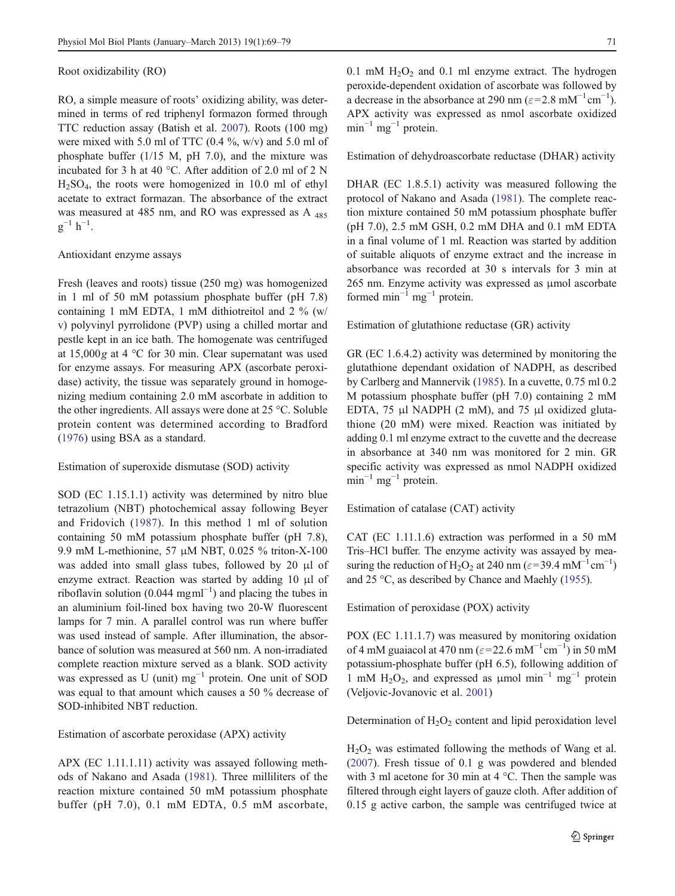Root oxidizability (RO)

RO, a simple measure of roots' oxidizing ability, was determined in terms of red triphenyl formazon formed through TTC reduction assay (Batish et al. [2007](#page-9-0)). Roots (100 mg) were mixed with 5.0 ml of TTC (0.4 %, w/v) and 5.0 ml of phosphate buffer (1/15 M, pH 7.0), and the mixture was incubated for 3 h at 40 °C. After addition of 2.0 ml of 2 N  $H<sub>2</sub>SO<sub>4</sub>$ , the roots were homogenized in 10.0 ml of ethyl acetate to extract formazan. The absorbance of the extract was measured at 485 nm, and RO was expressed as A <sup>485</sup>  $g^{-1} h^{-1}$ .

## Antioxidant enzyme assays

Fresh (leaves and roots) tissue (250 mg) was homogenized in 1 ml of 50 mM potassium phosphate buffer (pH 7.8) containing 1 mM EDTA, 1 mM dithiotreitol and 2 % (w/ v) polyvinyl pyrrolidone (PVP) using a chilled mortar and pestle kept in an ice bath. The homogenate was centrifuged at 15,000g at 4 °C for 30 min. Clear supernatant was used for enzyme assays. For measuring APX (ascorbate peroxidase) activity, the tissue was separately ground in homogenizing medium containing 2.0 mM ascorbate in addition to the other ingredients. All assays were done at 25 °C. Soluble protein content was determined according to Bradford [\(1976](#page-9-0)) using BSA as a standard.

#### Estimation of superoxide dismutase (SOD) activity

SOD (EC 1.15.1.1) activity was determined by nitro blue tetrazolium (NBT) photochemical assay following Beyer and Fridovich [\(1987](#page-9-0)). In this method 1 ml of solution containing 50 mM potassium phosphate buffer (pH 7.8), 9.9 mM L-methionine, 57 μM NBT, 0.025 % triton-X-100 was added into small glass tubes, followed by 20 μl of enzyme extract. Reaction was started by adding 10 μl of riboflavin solution (0.044 mgml<sup>-1</sup>) and placing the tubes in an aluminium foil-lined box having two 20-W fluorescent lamps for 7 min. A parallel control was run where buffer was used instead of sample. After illumination, the absorbance of solution was measured at 560 nm. A non-irradiated complete reaction mixture served as a blank. SOD activity was expressed as U (unit) mg<sup>-1</sup> protein. One unit of SOD was equal to that amount which causes a 50 % decrease of SOD-inhibited NBT reduction.

## Estimation of ascorbate peroxidase (APX) activity

APX (EC 1.11.1.11) activity was assayed following methods of Nakano and Asada [\(1981](#page-9-0)). Three milliliters of the reaction mixture contained 50 mM potassium phosphate buffer (pH 7.0), 0.1 mM EDTA, 0.5 mM ascorbate, 0.1 mM  $H_2O_2$  and 0.1 ml enzyme extract. The hydrogen peroxide-dependent oxidation of ascorbate was followed by a decrease in the absorbance at 290 nm ( $\varepsilon$ =2.8 mM<sup>-1</sup> cm<sup>-1</sup>). APX activity was expressed as nmol ascorbate oxidized  $min^{-1} mg^{-1}$  protein.

Estimation of dehydroascorbate reductase (DHAR) activity

DHAR (EC 1.8.5.1) activity was measured following the protocol of Nakano and Asada [\(1981](#page-9-0)). The complete reaction mixture contained 50 mM potassium phosphate buffer (pH 7.0), 2.5 mM GSH, 0.2 mM DHA and 0.1 mM EDTA in a final volume of 1 ml. Reaction was started by addition of suitable aliquots of enzyme extract and the increase in absorbance was recorded at 30 s intervals for 3 min at 265 nm. Enzyme activity was expressed as μmol ascorbate formed min<sup>-1</sup> mg<sup>-1</sup> protein.

Estimation of glutathione reductase (GR) activity

GR (EC 1.6.4.2) activity was determined by monitoring the glutathione dependant oxidation of NADPH, as described by Carlberg and Mannervik ([1985\)](#page-9-0). In a cuvette, 0.75 ml 0.2 M potassium phosphate buffer (pH 7.0) containing 2 mM EDTA, 75 μl NADPH (2 mM), and 75 μl oxidized glutathione (20 mM) were mixed. Reaction was initiated by adding 0.1 ml enzyme extract to the cuvette and the decrease in absorbance at 340 nm was monitored for 2 min. GR specific activity was expressed as nmol NADPH oxidized  $\text{min}^{-1} \text{ mg}^{-1}$  protein.

Estimation of catalase (CAT) activity

CAT (EC 1.11.1.6) extraction was performed in a 50 mM Tris–HCl buffer. The enzyme activity was assayed by measuring the reduction of H<sub>2</sub>O<sub>2</sub> at 240 nm ( $\varepsilon$ =39.4 mM<sup>-1</sup> cm<sup>-1</sup>) and 25 °C, as described by Chance and Maehly ([1955](#page-9-0)).

Estimation of peroxidase (POX) activity

POX (EC 1.11.1.7) was measured by monitoring oxidation of 4 mM guaiacol at 470 nm ( $\varepsilon$ =22.6 mM<sup>-1</sup> cm<sup>-1</sup>) in 50 mM potassium-phosphate buffer (pH 6.5), following addition of 1 mM  $H_2O_2$ , and expressed as µmol min<sup>-1</sup> mg<sup>-1</sup> protein (Veljovic-Jovanovic et al. [2001](#page-10-0))

Determination of  $H_2O_2$  content and lipid peroxidation level

 $H_2O_2$  was estimated following the methods of Wang et al. [\(2007](#page-10-0)). Fresh tissue of 0.1 g was powdered and blended with 3 ml acetone for 30 min at 4 °C. Then the sample was filtered through eight layers of gauze cloth. After addition of 0.15 g active carbon, the sample was centrifuged twice at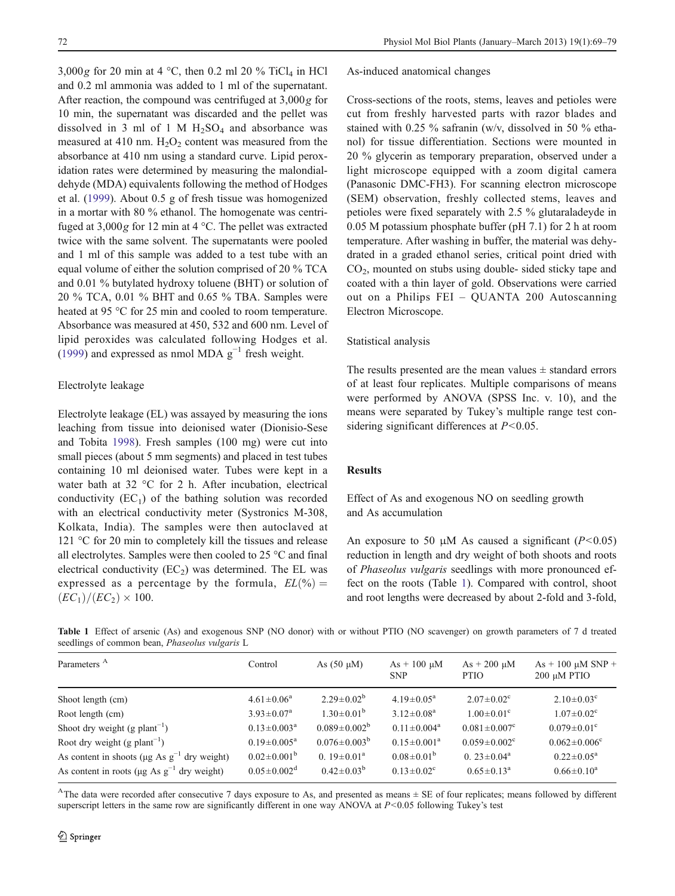<span id="page-3-0"></span> $3,000g$  for 20 min at 4 °C, then 0.2 ml 20 % TiCl<sub>4</sub> in HCl and 0.2 ml ammonia was added to 1 ml of the supernatant. After reaction, the compound was centrifuged at 3,000g for 10 min, the supernatant was discarded and the pellet was dissolved in 3 ml of 1 M  $H<sub>2</sub>SO<sub>4</sub>$  and absorbance was measured at 410 nm.  $H_2O_2$  content was measured from the absorbance at 410 nm using a standard curve. Lipid peroxidation rates were determined by measuring the malondialdehyde (MDA) equivalents following the method of Hodges et al. [\(1999](#page-9-0)). About 0.5 g of fresh tissue was homogenized in a mortar with 80 % ethanol. The homogenate was centrifuged at  $3,000g$  for 12 min at 4 °C. The pellet was extracted twice with the same solvent. The supernatants were pooled and 1 ml of this sample was added to a test tube with an equal volume of either the solution comprised of 20 % TCA and 0.01 % butylated hydroxy toluene (BHT) or solution of 20 % TCA, 0.01 % BHT and 0.65 % TBA. Samples were heated at 95 °C for 25 min and cooled to room temperature. Absorbance was measured at 450, 532 and 600 nm. Level of lipid peroxides was calculated following Hodges et al.  $(1999)$  $(1999)$  and expressed as nmol MDA g<sup>-1</sup> fresh weight.

#### Electrolyte leakage

Electrolyte leakage (EL) was assayed by measuring the ions leaching from tissue into deionised water (Dionisio-Sese and Tobita [1998](#page-9-0)). Fresh samples (100 mg) were cut into small pieces (about 5 mm segments) and placed in test tubes containing 10 ml deionised water. Tubes were kept in a water bath at 32 °C for 2 h. After incubation, electrical conductivity  $(EC_1)$  of the bathing solution was recorded with an electrical conductivity meter (Systronics M-308, Kolkata, India). The samples were then autoclaved at 121 °C for 20 min to completely kill the tissues and release all electrolytes. Samples were then cooled to 25 °C and final electrical conductivity  $(EC_2)$  was determined. The EL was expressed as a percentage by the formula,  $EL(\% ) =$  $(EC_1)/(EC_2) \times 100.$ 

As-induced anatomical changes

Cross-sections of the roots, stems, leaves and petioles were cut from freshly harvested parts with razor blades and stained with 0.25 % safranin (w/v, dissolved in 50 % ethanol) for tissue differentiation. Sections were mounted in 20 % glycerin as temporary preparation, observed under a light microscope equipped with a zoom digital camera (Panasonic DMC-FH3). For scanning electron microscope (SEM) observation, freshly collected stems, leaves and petioles were fixed separately with 2.5 % glutaraladeyde in 0.05 M potassium phosphate buffer (pH 7.1) for 2 h at room temperature. After washing in buffer, the material was dehydrated in a graded ethanol series, critical point dried with  $CO<sub>2</sub>$ , mounted on stubs using double- sided sticky tape and coated with a thin layer of gold. Observations were carried out on a Philips FEI – QUANTA 200 Autoscanning Electron Microscope.

#### Statistical analysis

The results presented are the mean values  $\pm$  standard errors of at least four replicates. Multiple comparisons of means were performed by ANOVA (SPSS Inc. v. 10), and the means were separated by Tukey's multiple range test considering significant differences at  $P < 0.05$ .

## Results

Effect of As and exogenous NO on seedling growth and As accumulation

An exposure to 50  $\mu$ M As caused a significant (P<0.05) reduction in length and dry weight of both shoots and roots of Phaseolus vulgaris seedlings with more pronounced effect on the roots (Table 1). Compared with control, shoot and root lengths were decreased by about 2-fold and 3-fold,

Table 1 Effect of arsenic (As) and exogenous SNP (NO donor) with or without PTIO (NO scavenger) on growth parameters of 7 d treated seedlings of common bean, Phaseolus vulgaris L

| Parameters <sup>A</sup>                                       | Control                       | As $(50 \mu M)$         | $As + 100 \mu M$<br><b>SNP</b> | $As + 200 \mu M$<br><b>PTIO</b> | $As + 100 \mu M SNP +$<br>200 μM PTIO |
|---------------------------------------------------------------|-------------------------------|-------------------------|--------------------------------|---------------------------------|---------------------------------------|
| Shoot length (cm)                                             | $4.61 \pm 0.06^a$             | $2.29 \pm 0.02^b$       | $4.19 \pm 0.05^{\text{a}}$     | $2.07 \pm 0.02$ <sup>c</sup>    | $2.10\pm0.03^{\circ}$                 |
| Root length (cm)                                              | $3.93 \pm 0.07^{\rm a}$       | $1.30 \pm 0.01^{\rm b}$ | $3.12 \pm 0.08^a$              | $1.00 \pm 0.01$ <sup>c</sup>    | $1.07 \pm 0.02$ <sup>c</sup>          |
| Shoot dry weight (g plant <sup>-1</sup> )                     | $0.13 \pm 0.003^a$            | $0.089 \pm 0.002^b$     | $0.11 \pm 0.004^a$             | $0.081 \pm 0.007$ <sup>c</sup>  | $0.079 \pm 0.01$ °                    |
| Root dry weight (g plant <sup>-1</sup> )                      | $0.19 \pm 0.005^{\text{a}}$   | $0.076 \pm 0.003^b$     | $0.15 \pm 0.001^a$             | $0.059 \pm 0.002$ <sup>c</sup>  | $0.062 \pm 0.006^{\circ}$             |
| As content in shoots ( $\mu$ g As g <sup>-1</sup> dry weight) | $0.02 \pm 0.001^{\rm b}$      | 0. $19 \pm 0.01^a$      | $0.08 \pm 0.01^{\rm b}$        | 0. $23 \pm 0.04^a$              | $0.22 \pm 0.05^{\text{a}}$            |
| As content in roots ( $\mu$ g As g <sup>-1</sup> dry weight)  | $0.05 \pm 0.002$ <sup>d</sup> | $0.42 \pm 0.03^{\rm b}$ | $0.13 \pm 0.02^{\circ}$        | $0.65 \pm 0.13^a$               | $0.66 \pm 0.10^a$                     |

<sup>A</sup>The data were recorded after consecutive 7 days exposure to As, and presented as means  $\pm$  SE of four replicates; means followed by different superscript letters in the same row are significantly different in one way ANOVA at  $P<0.05$  following Tukey's test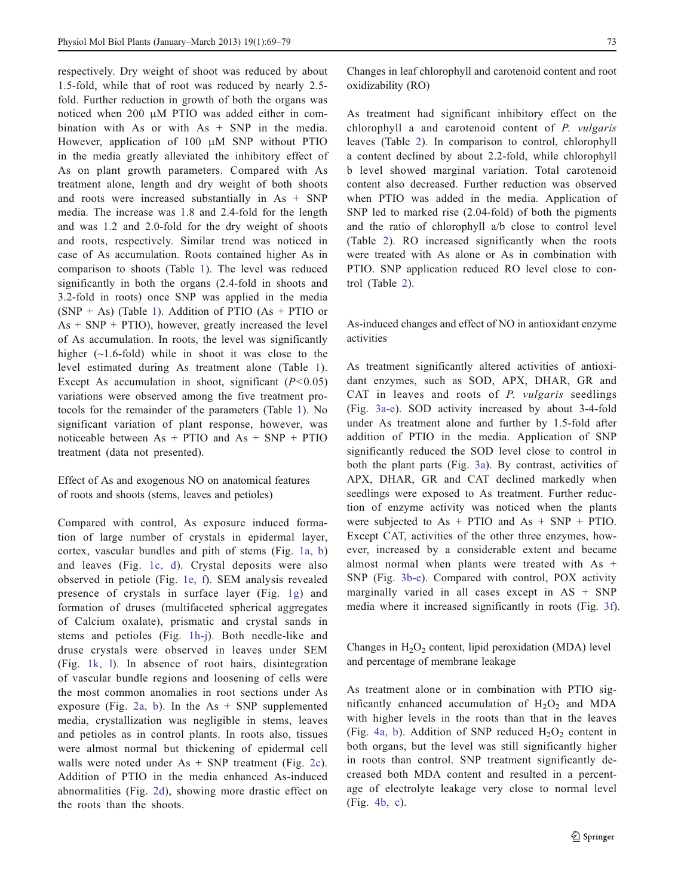respectively. Dry weight of shoot was reduced by about 1.5-fold, while that of root was reduced by nearly 2.5 fold. Further reduction in growth of both the organs was noticed when 200 μM PTIO was added either in combination with As or with  $As + SNP$  in the media. However, application of 100 μM SNP without PTIO in the media greatly alleviated the inhibitory effect of As on plant growth parameters. Compared with As treatment alone, length and dry weight of both shoots and roots were increased substantially in As + SNP media. The increase was 1.8 and 2.4-fold for the length and was 1.2 and 2.0-fold for the dry weight of shoots and roots, respectively. Similar trend was noticed in case of As accumulation. Roots contained higher As in comparison to shoots (Table [1\)](#page-3-0). The level was reduced significantly in both the organs (2.4-fold in shoots and 3.2-fold in roots) once SNP was applied in the media  $(SNP + As)$  (Table [1](#page-3-0)). Addition of PTIO (As + PTIO or  $As + SNP + PTIO$ , however, greatly increased the level of As accumulation. In roots, the level was significantly higher  $(\sim 1.6\text{-}fold)$  while in shoot it was close to the level estimated during As treatment alone (Table [1](#page-3-0)). Except As accumulation in shoot, significant  $(P<0.05)$ variations were observed among the five treatment protocols for the remainder of the parameters (Table [1](#page-3-0)). No significant variation of plant response, however, was noticeable between  $As + PTIO$  and  $As + SNP + PTIO$ treatment (data not presented).

Effect of As and exogenous NO on anatomical features of roots and shoots (stems, leaves and petioles)

Compared with control, As exposure induced formation of large number of crystals in epidermal layer, cortex, vascular bundles and pith of stems (Fig. [1a, b\)](#page-5-0) and leaves (Fig. [1c, d\)](#page-5-0). Crystal deposits were also observed in petiole (Fig. [1e, f](#page-5-0)). SEM analysis revealed presence of crystals in surface layer (Fig. [1g](#page-5-0)) and formation of druses (multifaceted spherical aggregates of Calcium oxalate), prismatic and crystal sands in stems and petioles (Fig. [1h-j](#page-5-0)). Both needle-like and druse crystals were observed in leaves under SEM (Fig. [1k, l](#page-5-0)). In absence of root hairs, disintegration of vascular bundle regions and loosening of cells were the most common anomalies in root sections under As exposure (Fig. [2a, b](#page-6-0)). In the  $As + SNP$  supplemented media, crystallization was negligible in stems, leaves and petioles as in control plants. In roots also, tissues were almost normal but thickening of epidermal cell walls were noted under  $As + SNP$  treatment (Fig. [2c](#page-6-0)). Addition of PTIO in the media enhanced As-induced abnormalities (Fig. [2d](#page-6-0)), showing more drastic effect on the roots than the shoots.

Changes in leaf chlorophyll and carotenoid content and root oxidizability (RO)

As treatment had significant inhibitory effect on the chlorophyll a and carotenoid content of P. vulgaris leaves (Table [2](#page-6-0)). In comparison to control, chlorophyll a content declined by about 2.2-fold, while chlorophyll b level showed marginal variation. Total carotenoid content also decreased. Further reduction was observed when PTIO was added in the media. Application of SNP led to marked rise (2.04-fold) of both the pigments and the ratio of chlorophyll a/b close to control level (Table [2](#page-6-0)). RO increased significantly when the roots were treated with As alone or As in combination with PTIO. SNP application reduced RO level close to control (Table [2\)](#page-6-0).

As-induced changes and effect of NO in antioxidant enzyme activities

As treatment significantly altered activities of antioxidant enzymes, such as SOD, APX, DHAR, GR and CAT in leaves and roots of P. vulgaris seedlings (Fig. [3a-e\)](#page-7-0). SOD activity increased by about 3-4-fold under As treatment alone and further by 1.5-fold after addition of PTIO in the media. Application of SNP significantly reduced the SOD level close to control in both the plant parts (Fig. [3a\)](#page-7-0). By contrast, activities of APX, DHAR, GR and CAT declined markedly when seedlings were exposed to As treatment. Further reduction of enzyme activity was noticed when the plants were subjected to  $As + PTIO$  and  $As + SNP + PTIO$ . Except CAT, activities of the other three enzymes, however, increased by a considerable extent and became almost normal when plants were treated with As + SNP (Fig. [3b-e\)](#page-7-0). Compared with control, POX activity marginally varied in all cases except in AS + SNP media where it increased significantly in roots (Fig. [3f\)](#page-7-0).

Changes in  $H_2O_2$  content, lipid peroxidation (MDA) level and percentage of membrane leakage

As treatment alone or in combination with PTIO significantly enhanced accumulation of  $H_2O_2$  and MDA with higher levels in the roots than that in the leaves (Fig. [4a, b\)](#page-8-0). Addition of SNP reduced  $H_2O_2$  content in both organs, but the level was still significantly higher in roots than control. SNP treatment significantly decreased both MDA content and resulted in a percentage of electrolyte leakage very close to normal level (Fig. [4b, c](#page-8-0)).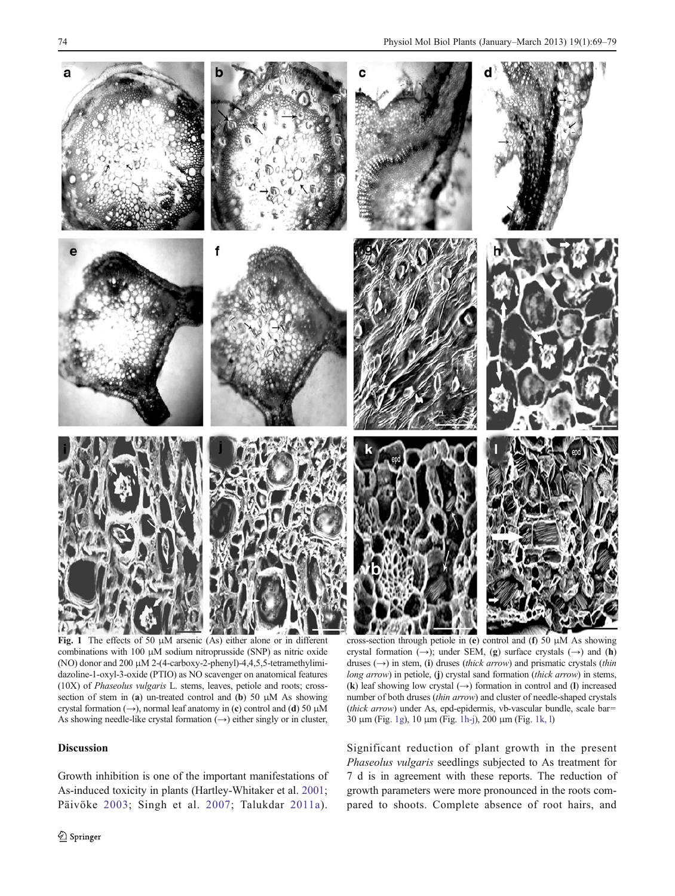<span id="page-5-0"></span>

Fig. 1 The effects of 50  $\mu$ M arsenic (As) either alone or in different combinations with 100 μM sodium nitroprusside (SNP) as nitric oxide (NO) donor and 200 μM 2-(4-carboxy-2-phenyl)-4,4,5,5-tetramethylimidazoline-1-oxyl-3-oxide (PTIO) as NO scavenger on anatomical features (10X) of Phaseolus vulgaris L. stems, leaves, petiole and roots; crosssection of stem in (a) un-treated control and (b) 50  $\mu$ M As showing crystal formation (→), normal leaf anatomy in (c) control and (d) 50  $\mu$ M As showing needle-like crystal formation  $(\rightarrow)$  either singly or in cluster,

## Discussion

Growth inhibition is one of the important manifestations of As-induced toxicity in plants (Hartley-Whitaker et al. [2001](#page-9-0); Päivöke [2003;](#page-10-0) Singh et al. [2007;](#page-10-0) Talukdar [2011a\)](#page-10-0).

cross-section through petiole in (e) control and (f) 50 μM As showing crystal formation (→); under SEM, (g) surface crystals (→) and (h) druses  $(\rightarrow)$  in stem, (i) druses (thick arrow) and prismatic crystals (thin long arrow) in petiole, (j) crystal sand formation (thick arrow) in stems, (k) leaf showing low crystal  $(\rightarrow)$  formation in control and (l) increased number of both druses (thin arrow) and cluster of needle-shaped crystals (thick arrow) under As, epd-epidermis, vb-vascular bundle, scale bar= 30 μm (Fig. 1g), 10 μm (Fig. 1h-j), 200 μm (Fig. 1k, l)

Significant reduction of plant growth in the present Phaseolus vulgaris seedlings subjected to As treatment for 7 d is in agreement with these reports. The reduction of growth parameters were more pronounced in the roots compared to shoots. Complete absence of root hairs, and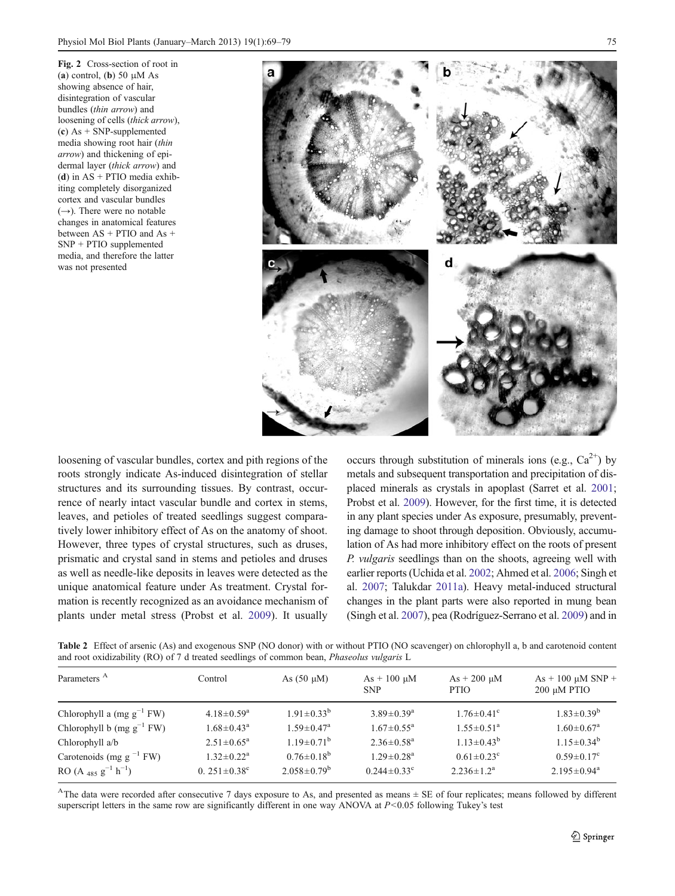<span id="page-6-0"></span>Fig. 2 Cross-section of root in (a) control, (b) 50  $\mu$ M As showing absence of hair, disintegration of vascular bundles (thin arrow) and loosening of cells (thick arrow), (c) As  $+$  SNP-supplemented media showing root hair (thin arrow) and thickening of epidermal layer (thick arrow) and (d) in  $AS + PTIO$  media exhibiting completely disorganized cortex and vascular bundles  $(\rightarrow)$ . There were no notable changes in anatomical features between AS + PTIO and As + SNP + PTIO supplemented media, and therefore the latter was not presented



loosening of vascular bundles, cortex and pith regions of the roots strongly indicate As-induced disintegration of stellar structures and its surrounding tissues. By contrast, occurrence of nearly intact vascular bundle and cortex in stems, leaves, and petioles of treated seedlings suggest comparatively lower inhibitory effect of As on the anatomy of shoot. However, three types of crystal structures, such as druses, prismatic and crystal sand in stems and petioles and druses as well as needle-like deposits in leaves were detected as the unique anatomical feature under As treatment. Crystal formation is recently recognized as an avoidance mechanism of plants under metal stress (Probst et al. [2009](#page-10-0)). It usually

occurs through substitution of minerals ions (e.g.,  $Ca^{2+}$ ) by metals and subsequent transportation and precipitation of displaced minerals as crystals in apoplast (Sarret et al. [2001;](#page-10-0) Probst et al. [2009\)](#page-10-0). However, for the first time, it is detected in any plant species under As exposure, presumably, preventing damage to shoot through deposition. Obviously, accumulation of As had more inhibitory effect on the roots of present P. vulgaris seedlings than on the shoots, agreeing well with earlier reports (Uchida et al. [2002](#page-10-0); Ahmed et al. [2006](#page-9-0); Singh et al. [2007](#page-10-0); Talukdar [2011a\)](#page-10-0). Heavy metal-induced structural changes in the plant parts were also reported in mung bean (Singh et al. [2007\)](#page-10-0), pea (Rodríguez-Serrano et al. [2009](#page-10-0)) and in

Table 2 Effect of arsenic (As) and exogenous SNP (NO donor) with or without PTIO (NO scavenger) on chlorophyll a, b and carotenoid content and root oxidizability (RO) of 7 d treated seedlings of common bean, Phaseolus vulgaris L

| Control                      | As $(50 \mu M)$              | $As + 100 \mu M$<br><b>SNP</b> | $As + 200 \mu M$<br><b>PTIO</b> | $As + 100 \mu M SNP +$<br>$200 \mu M$ PTIO |
|------------------------------|------------------------------|--------------------------------|---------------------------------|--------------------------------------------|
| $4.18 \pm 0.59$ <sup>a</sup> | $1.91 \pm 0.33^{b}$          | $3.89 \pm 0.39$ <sup>a</sup>   | $1.76 \pm 0.41$ <sup>c</sup>    | $1.83 \pm 0.39^b$                          |
| $1.68 \pm 0.43^a$            | $1.59 \pm 0.47$ <sup>a</sup> | $1.67 \pm 0.55^{\mathrm{a}}$   | $1.55 \pm 0.51^a$               | $1.60 \pm 0.67$ <sup>a</sup>               |
| $2.51 \pm 0.65^a$            | $1.19 \pm 0.71^{\rm b}$      | $2.36 \pm 0.58$ <sup>a</sup>   | $1.13 \pm 0.43^b$               | $1.15 \pm 0.34^b$                          |
| $1.32 \pm 0.22^a$            | $0.76 \pm 0.18^b$            | $1.29 \pm 0.28$ <sup>a</sup>   | $0.61 \pm 0.23$ <sup>c</sup>    | $0.59 \pm 0.17$ <sup>c</sup>               |
| 0. $251 \pm 0.38$ °          | $2.058 \pm 0.79^b$           | $0.244 \pm 0.33^{\circ}$       | $2.236 \pm 1.2^a$               | $2.195 \pm 0.94^a$                         |
|                              |                              |                                |                                 |                                            |

<sup>A</sup>The data were recorded after consecutive 7 days exposure to As, and presented as means  $\pm$  SE of four replicates; means followed by different superscript letters in the same row are significantly different in one way ANOVA at  $P<0.05$  following Tukey's test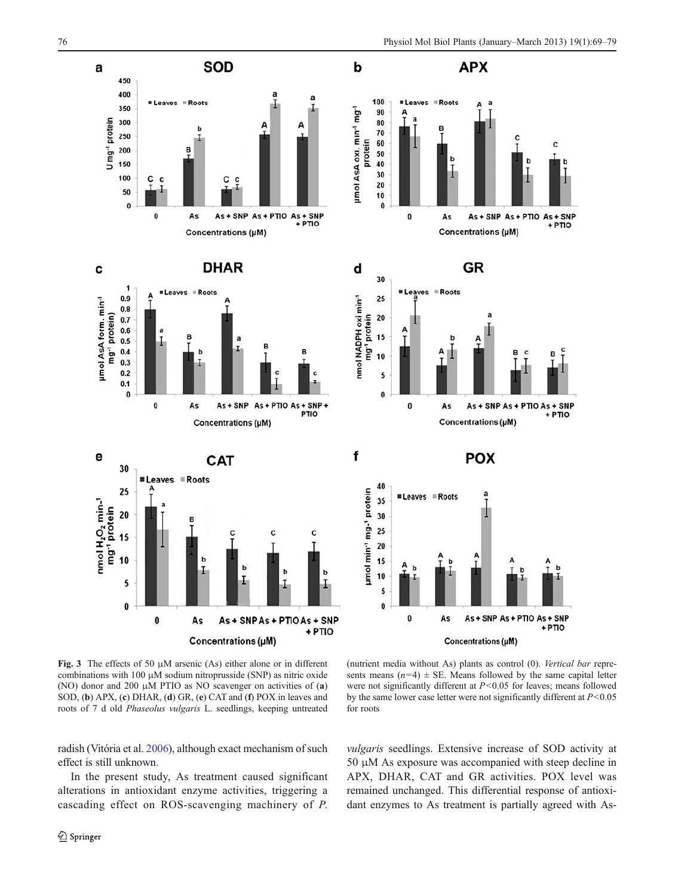<span id="page-7-0"></span>

Fig. 3 The effects of 50  $\mu$ M arsenic (As) either alone or in different combinations with 100 μM sodium nitroprusside (SNP) as nitric oxide (NO) donor and 200 μM PTIO as NO scavenger on activities of (a) SOD, (b) APX, (c) DHAR, (d) GR, (e) CAT and (f) POX in leaves and roots of 7 d old Phaseolus vulgaris L. seedlings, keeping untreated

(nutrient media without As) plants as control (0). Vertical bar represents means  $(n=4) \pm$  SE. Means followed by the same capital letter were not significantly different at  $P < 0.05$  for leaves; means followed by the same lower case letter were not significantly different at  $P < 0.05$ for roots

radish (Vitória et al. [2006\)](#page-10-0), although exact mechanism of such effect is still unknown.

In the present study, As treatment caused significant alterations in antioxidant enzyme activities, triggering a cascading effect on ROS-scavenging machinery of P.

vulgaris seedlings. Extensive increase of SOD activity at 50 μM As exposure was accompanied with steep decline in APX, DHAR, CAT and GR activities. POX level was remained unchanged. This differential response of antioxidant enzymes to As treatment is partially agreed with As-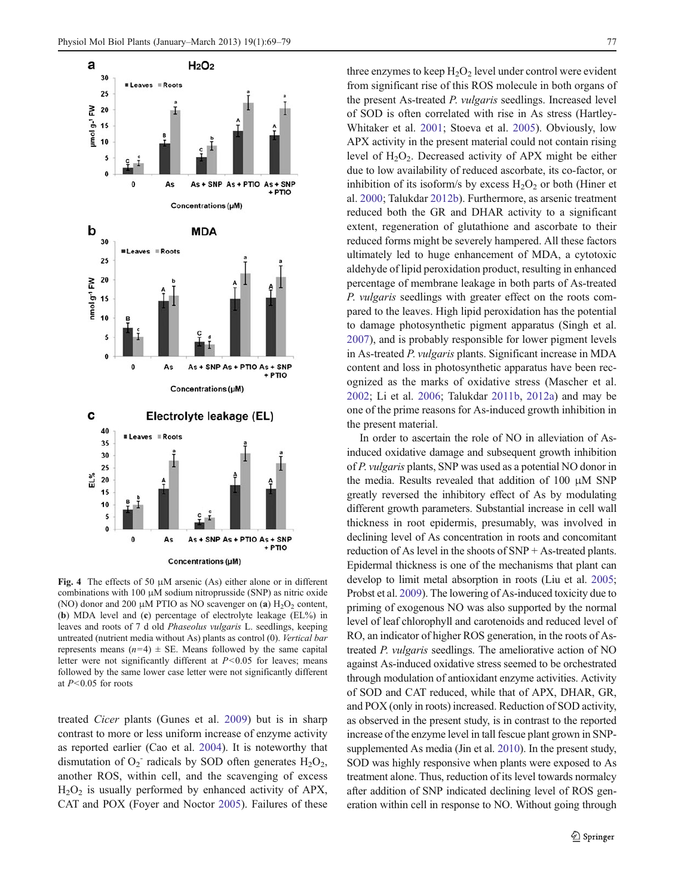<span id="page-8-0"></span>

Fig. 4 The effects of 50  $\mu$ M arsenic (As) either alone or in different combinations with 100 μM sodium nitroprusside (SNP) as nitric oxide (NO) donor and 200 μM PTIO as NO scavenger on (a)  $H_2O_2$  content, (b) MDA level and (c) percentage of electrolyte leakage (EL%) in leaves and roots of 7 d old Phaseolus vulgaris L. seedlings, keeping untreated (nutrient media without As) plants as control (0). Vertical bar represents means  $(n=4) \pm$  SE. Means followed by the same capital letter were not significantly different at  $P < 0.05$  for leaves; means followed by the same lower case letter were not significantly different at  $P<0.05$  for roots

treated Cicer plants (Gunes et al. [2009](#page-9-0)) but is in sharp contrast to more or less uniform increase of enzyme activity as reported earlier (Cao et al. [2004\)](#page-9-0). It is noteworthy that dismutation of  $O_2$ <sup>-</sup> radicals by SOD often generates  $H_2O_2$ , another ROS, within cell, and the scavenging of excess  $H<sub>2</sub>O<sub>2</sub>$  is usually performed by enhanced activity of APX, CAT and POX (Foyer and Noctor [2005\)](#page-9-0). Failures of these three enzymes to keep  $H_2O_2$  level under control were evident from significant rise of this ROS molecule in both organs of the present As-treated P. vulgaris seedlings. Increased level of SOD is often correlated with rise in As stress (Hartley-Whitaker et al. [2001](#page-9-0); Stoeva et al. [2005\)](#page-10-0). Obviously, low APX activity in the present material could not contain rising level of  $H_2O_2$ . Decreased activity of APX might be either due to low availability of reduced ascorbate, its co-factor, or inhibition of its isoform/s by excess  $H_2O_2$  or both (Hiner et al. [2000;](#page-9-0) Talukdar [2012b\)](#page-10-0). Furthermore, as arsenic treatment reduced both the GR and DHAR activity to a significant extent, regeneration of glutathione and ascorbate to their reduced forms might be severely hampered. All these factors ultimately led to huge enhancement of MDA, a cytotoxic aldehyde of lipid peroxidation product, resulting in enhanced percentage of membrane leakage in both parts of As-treated P. vulgaris seedlings with greater effect on the roots compared to the leaves. High lipid peroxidation has the potential to damage photosynthetic pigment apparatus (Singh et al. [2007](#page-10-0)), and is probably responsible for lower pigment levels in As-treated P. vulgaris plants. Significant increase in MDA content and loss in photosynthetic apparatus have been recognized as the marks of oxidative stress (Mascher et al. [2002](#page-9-0); Li et al. [2006;](#page-9-0) Talukdar [2011b,](#page-10-0) [2012a](#page-10-0)) and may be one of the prime reasons for As-induced growth inhibition in the present material.

In order to ascertain the role of NO in alleviation of Asinduced oxidative damage and subsequent growth inhibition of P. vulgaris plants, SNP was used as a potential NO donor in the media. Results revealed that addition of 100 μM SNP greatly reversed the inhibitory effect of As by modulating different growth parameters. Substantial increase in cell wall thickness in root epidermis, presumably, was involved in declining level of As concentration in roots and concomitant reduction of As level in the shoots of SNP + As-treated plants. Epidermal thickness is one of the mechanisms that plant can develop to limit metal absorption in roots (Liu et al. [2005;](#page-9-0) Probst et al. [2009](#page-10-0)). The lowering of As-induced toxicity due to priming of exogenous NO was also supported by the normal level of leaf chlorophyll and carotenoids and reduced level of RO, an indicator of higher ROS generation, in the roots of Astreated P. vulgaris seedlings. The ameliorative action of NO against As-induced oxidative stress seemed to be orchestrated through modulation of antioxidant enzyme activities. Activity of SOD and CAT reduced, while that of APX, DHAR, GR, and POX (only in roots) increased. Reduction of SOD activity, as observed in the present study, is in contrast to the reported increase of the enzyme level in tall fescue plant grown in SNPsupplemented As media (Jin et al. [2010\)](#page-9-0). In the present study, SOD was highly responsive when plants were exposed to As treatment alone. Thus, reduction of its level towards normalcy after addition of SNP indicated declining level of ROS generation within cell in response to NO. Without going through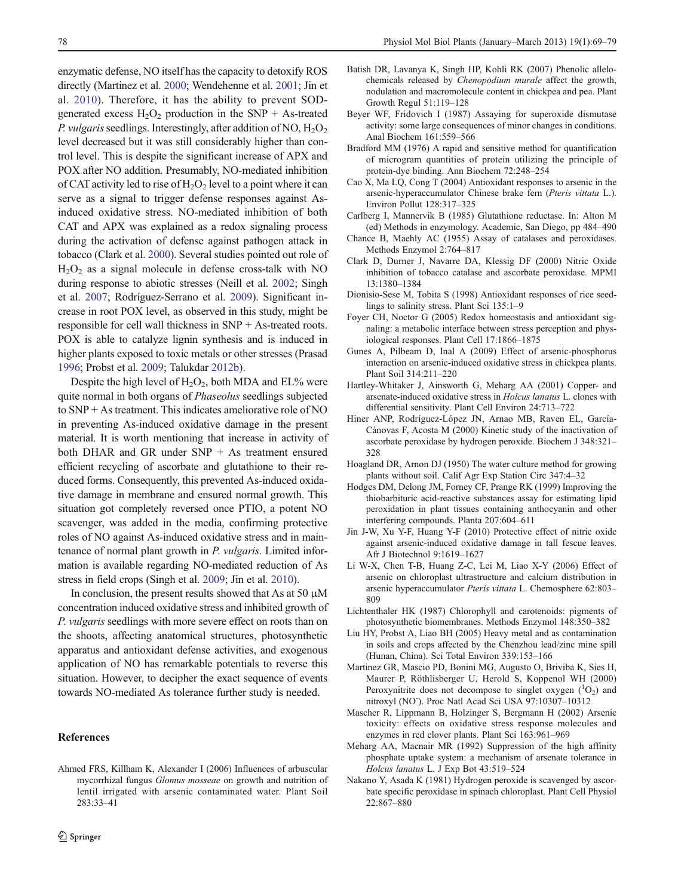<span id="page-9-0"></span>enzymatic defense, NO itself has the capacity to detoxify ROS directly (Martinez et al. 2000; Wendehenne et al. [2001](#page-10-0); Jin et al. 2010). Therefore, it has the ability to prevent SODgenerated excess  $H_2O_2$  production in the SNP + As-treated P. vulgaris seedlings. Interestingly, after addition of NO,  $H_2O_2$ level decreased but it was still considerably higher than control level. This is despite the significant increase of APX and POX after NO addition. Presumably, NO-mediated inhibition of CAT activity led to rise of  $H_2O_2$  level to a point where it can serve as a signal to trigger defense responses against Asinduced oxidative stress. NO-mediated inhibition of both CAT and APX was explained as a redox signaling process during the activation of defense against pathogen attack in tobacco (Clark et al. 2000). Several studies pointed out role of  $H<sub>2</sub>O<sub>2</sub>$  as a signal molecule in defense cross-talk with NO during response to abiotic stresses (Neill et al. [2002](#page-10-0); Singh et al. [2007;](#page-10-0) Rodríguez-Serrano et al. [2009\)](#page-10-0). Significant increase in root POX level, as observed in this study, might be responsible for cell wall thickness in SNP + As-treated roots. POX is able to catalyze lignin synthesis and is induced in higher plants exposed to toxic metals or other stresses (Prasad [1996;](#page-10-0) Probst et al. [2009](#page-10-0); Talukdar [2012b](#page-10-0)).

Despite the high level of  $H_2O_2$ , both MDA and EL% were quite normal in both organs of Phaseolus seedlings subjected to SNP + As treatment. This indicates ameliorative role of NO in preventing As-induced oxidative damage in the present material. It is worth mentioning that increase in activity of both DHAR and GR under SNP + As treatment ensured efficient recycling of ascorbate and glutathione to their reduced forms. Consequently, this prevented As-induced oxidative damage in membrane and ensured normal growth. This situation got completely reversed once PTIO, a potent NO scavenger, was added in the media, confirming protective roles of NO against As-induced oxidative stress and in maintenance of normal plant growth in P. vulgaris. Limited information is available regarding NO-mediated reduction of As stress in field crops (Singh et al. [2009;](#page-10-0) Jin et al. 2010).

In conclusion, the present results showed that As at 50  $\mu$ M concentration induced oxidative stress and inhibited growth of P. vulgaris seedlings with more severe effect on roots than on the shoots, affecting anatomical structures, photosynthetic apparatus and antioxidant defense activities, and exogenous application of NO has remarkable potentials to reverse this situation. However, to decipher the exact sequence of events towards NO-mediated As tolerance further study is needed.

### References

Ahmed FRS, Killham K, Alexander I (2006) Influences of arbuscular mycorrhizal fungus Glomus mosseae on growth and nutrition of lentil irrigated with arsenic contaminated water. Plant Soil 283:33–41

- Batish DR, Lavanya K, Singh HP, Kohli RK (2007) Phenolic allelochemicals released by Chenopodium murale affect the growth, nodulation and macromolecule content in chickpea and pea. Plant Growth Regul 51:119–128
- Beyer WF, Fridovich I (1987) Assaying for superoxide dismutase activity: some large consequences of minor changes in conditions. Anal Biochem 161:559–566
- Bradford MM (1976) A rapid and sensitive method for quantification of microgram quantities of protein utilizing the principle of protein-dye binding. Ann Biochem 72:248–254
- Cao X, Ma LQ, Cong T (2004) Antioxidant responses to arsenic in the arsenic-hyperaccumulator Chinese brake fern (Pteris vittata L.). Environ Pollut 128:317–325
- Carlberg I, Mannervik B (1985) Glutathione reductase. In: Alton M (ed) Methods in enzymology. Academic, San Diego, pp 484–490
- Chance B, Maehly AC (1955) Assay of catalases and peroxidases. Methods Enzymol 2:764–817
- Clark D, Durner J, Navarre DA, Klessig DF (2000) Nitric Oxide inhibition of tobacco catalase and ascorbate peroxidase. MPMI 13:1380–1384
- Dionisio-Sese M, Tobita S (1998) Antioxidant responses of rice seedlings to salinity stress. Plant Sci 135:1–9
- Foyer CH, Noctor G (2005) Redox homeostasis and antioxidant signaling: a metabolic interface between stress perception and physiological responses. Plant Cell 17:1866–1875
- Gunes A, Pilbeam D, Inal A (2009) Effect of arsenic-phosphorus interaction on arsenic-induced oxidative stress in chickpea plants. Plant Soil 314:211–220
- Hartley-Whitaker J, Ainsworth G, Meharg AA (2001) Copper- and arsenate-induced oxidative stress in Holcus lanatus L. clones with differential sensitivity. Plant Cell Environ 24:713–722
- Hiner ANP, Rodríguez-López JN, Arnao MB, Raven EL, García-Cánovas F, Acosta M (2000) Kinetic study of the inactivation of ascorbate peroxidase by hydrogen peroxide. Biochem J 348:321– 328
- Hoagland DR, Arnon DJ (1950) The water culture method for growing plants without soil. Calif Agr Exp Station Circ 347:4–32
- Hodges DM, Delong JM, Forney CF, Prange RK (1999) Improving the thiobarbituric acid-reactive substances assay for estimating lipid peroxidation in plant tissues containing anthocyanin and other interfering compounds. Planta 207:604–611
- Jin J-W, Xu Y-F, Huang Y-F (2010) Protective effect of nitric oxide against arsenic-induced oxidative damage in tall fescue leaves. Afr J Biotechnol 9:1619–1627
- Li W-X, Chen T-B, Huang Z-C, Lei M, Liao X-Y (2006) Effect of arsenic on chloroplast ultrastructure and calcium distribution in arsenic hyperaccumulator Pteris vittata L. Chemosphere 62:803– 809
- Lichtenthaler HK (1987) Chlorophyll and carotenoids: pigments of photosynthetic biomembranes. Methods Enzymol 148:350–382
- Liu HY, Probst A, Liao BH (2005) Heavy metal and as contamination in soils and crops affected by the Chenzhou lead/zinc mine spill (Hunan, China). Sci Total Environ 339:153–166
- Martinez GR, Mascio PD, Bonini MG, Augusto O, Briviba K, Sies H, Maurer P, Röthlisberger U, Herold S, Koppenol WH (2000) Peroxynitrite does not decompose to singlet oxygen  $(^{1}O_{2})$  and nitroxyl (NO- ). Proc Natl Acad Sci USA 97:10307–10312
- Mascher R, Lippmann B, Holzinger S, Bergmann H (2002) Arsenic toxicity: effects on oxidative stress response molecules and enzymes in red clover plants. Plant Sci 163:961–969
- Meharg AA, Macnair MR (1992) Suppression of the high affinity phosphate uptake system: a mechanism of arsenate tolerance in Holcus lanatus L. J Exp Bot 43:519–524
- Nakano Y, Asada K (1981) Hydrogen peroxide is scavenged by ascorbate specific peroxidase in spinach chloroplast. Plant Cell Physiol 22:867–880